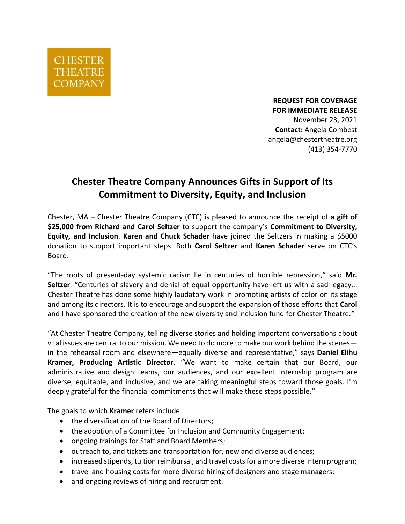

**REQUEST FOR COVERAGE FOR IMMEDIATE RELEASE**  November 23, 2021 **Contact:** Angela Combest angela@chestertheatre.org (413) 354-7770

## **Chester Theatre Company Announces Gifts in Support of Its Commitment to Diversity, Equity, and Inclusion**

Chester, MA – Chester Theatre Company (CTC) is pleased to announce the receipt of **a gift of \$25,000 from Richard and Carol Seltzer** to support the company's **Commitment to Diversity, Equity, and Inclusion**. **Karen and Chuck Schader** have joined the Seltzers in making a \$5000 donation to support important steps. Both **Carol Seltzer** and **Karen Schader** serve on CTC's Board.

"The roots of present-day systemic racism lie in centuries of horrible repression," said **Mr. Seltzer**. "Centuries of slavery and denial of equal opportunity have left us with a sad legacy... Chester Theatre has done some highly laudatory work in promoting artists of color on its stage and among its directors. It is to encourage and support the expansion of those efforts that **Carol** and I have sponsored the creation of the new diversity and inclusion fund for Chester Theatre."

"At Chester Theatre Company, telling diverse stories and holding important conversations about vital issues are central to our mission. We need to do more to make our work behind the scenes in the rehearsal room and elsewhere—equally diverse and representative," says **Daniel Elihu Kramer, Producing Artistic Director**. "We want to make certain that our Board, our administrative and design teams, our audiences, and our excellent internship program are diverse, equitable, and inclusive, and we are taking meaningful steps toward those goals. I'm deeply grateful for the financial commitments that will make these steps possible."

The goals to which **Kramer** refers include:

- the diversification of the Board of Directors;
- the adoption of a Committee for Inclusion and Community Engagement;
- ongoing trainings for Staff and Board Members;
- outreach to, and tickets and transportation for, new and diverse audiences;
- increased stipends, tuition reimbursal, and travel costs for a more diverse intern program;
- travel and housing costs for more diverse hiring of designers and stage managers;
- and ongoing reviews of hiring and recruitment.